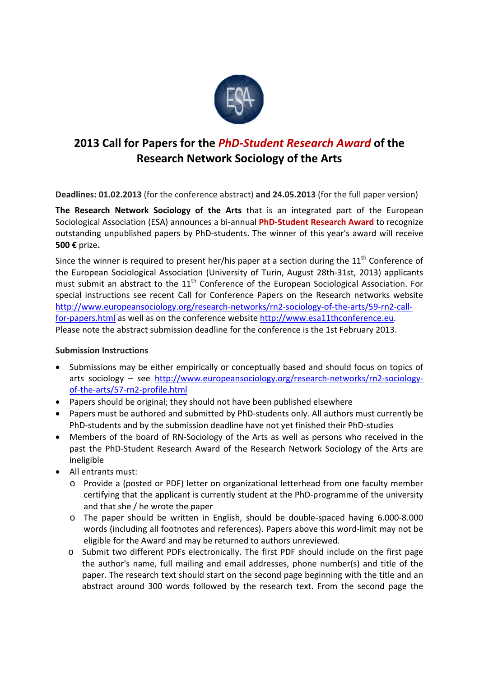

## **2013 Call for Papers for the** *PhD‐Student Research Award* **of the Research Network Sociology of the Arts**

**Deadlines: 01.02.2013** (for the conference abstract) **and 24.05.2013** (for the full paper version)

**The Research Network Sociology of the Arts** that is an integrated part of the European Sociological Association (ESA) announces a bi‐annual **PhD‐Student Research Award** to recognize outstanding unpublished papers by PhD‐students. The winner of this year's award will receive **500 €** prize**.**

Since the winner is required to present her/his paper at a section during the  $11<sup>th</sup>$  Conference of the European Sociological Association (University of Turin, August 28th‐31st, 2013) applicants must submit an abstract to the 11<sup>th</sup> Conference of the European Sociological Association. For special instructions see recent Call for Conference Papers on the Research networks website http://www.europeansociology.org/research-networks/rn2-sociology-of-the-arts/59-rn2-callfor-papers.html as well as on the conference website http://www.esa11thconference.eu. Please note the abstract submission deadline for the conference is the 1st February 2013.

## **Submission Instructions**

- Submissions may be either empirically or conceptually based and should focus on topics of arts sociology – see http://www.europeansociology.org/research-networks/rn2-sociologyof‐the‐arts/57‐rn2‐profile.html
- Papers should be original; they should not have been published elsewhere
- Papers must be authored and submitted by PhD-students only. All authors must currently be PhD‐students and by the submission deadline have not yet finished their PhD‐studies
- Members of the board of RN‐Sociology of the Arts as well as persons who received in the past the PhD‐Student Research Award of the Research Network Sociology of the Arts are ineligible
- All entrants must:
	- o Provide a (posted or PDF) letter on organizational letterhead from one faculty member certifying that the applicant is currently student at the PhD‐programme of the university and that she / he wrote the paper
	- o The paper should be written in English, should be double‐spaced having 6.000‐8.000 words (including all footnotes and references). Papers above this word‐limit may not be eligible for the Award and may be returned to authors unreviewed.
	- o Submit two different PDFs electronically. The first PDF should include on the first page the author's name, full mailing and email addresses, phone number(s) and title of the paper. The research text should start on the second page beginning with the title and an abstract around 300 words followed by the research text. From the second page the